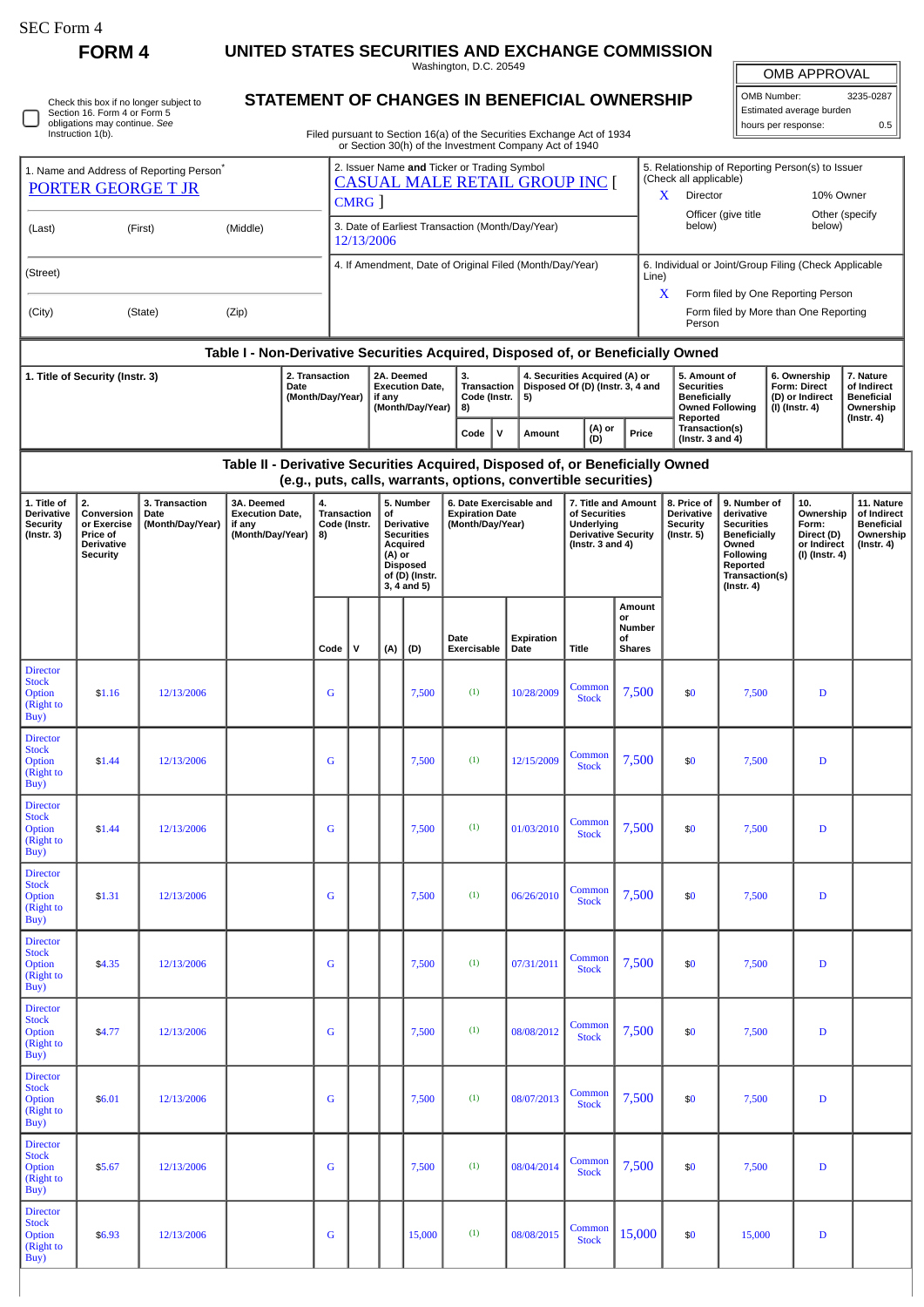$\Box$ 

## **FORM 4 UNITED STATES SECURITIES AND EXCHANGE COMMISSION**

Washington, D.C. 20549

| Check this box if no longer subject to |
|----------------------------------------|
| Section 16. Form 4 or Form 5           |
| obligations may continue. See          |
| Instruction 1(b).                      |

## **STATEMENT OF CHANGES IN BENEFICIAL OWNERSHIP**

Filed pursuant to Section 16(a) of the Securities Exchange Act of 1934 or Section 30(h) of the Investment Company Act of 1940

| OMB APPROVAL             |           |  |  |  |  |  |  |  |  |  |  |
|--------------------------|-----------|--|--|--|--|--|--|--|--|--|--|
| OMB Number:              | 3235-0287 |  |  |  |  |  |  |  |  |  |  |
| Estimated average burden |           |  |  |  |  |  |  |  |  |  |  |
| hours per response:      | 0.5       |  |  |  |  |  |  |  |  |  |  |

|                                                                                   |                                                                                                                                                                                                  |            |  |                                                                    |                             |                                                                                              |                                                                                                                                  |                                                                                                                    | or Section So(ii) or the investment Company Act or 1940               |                    |                                                                                                           |                                                                                            |                                                                                                          |                                                                                                                                                |                                                                          |                                                                                 |  |
|-----------------------------------------------------------------------------------|--------------------------------------------------------------------------------------------------------------------------------------------------------------------------------------------------|------------|--|--------------------------------------------------------------------|-----------------------------|----------------------------------------------------------------------------------------------|----------------------------------------------------------------------------------------------------------------------------------|--------------------------------------------------------------------------------------------------------------------|-----------------------------------------------------------------------|--------------------|-----------------------------------------------------------------------------------------------------------|--------------------------------------------------------------------------------------------|----------------------------------------------------------------------------------------------------------|------------------------------------------------------------------------------------------------------------------------------------------------|--------------------------------------------------------------------------|---------------------------------------------------------------------------------|--|
| 1. Name and Address of Reporting Person <sup>®</sup><br><b>PORTER GEORGE T JR</b> |                                                                                                                                                                                                  |            |  |                                                                    |                             | 2. Issuer Name and Ticker or Trading Symbol<br><b>CASUAL MALE RETAIL GROUP INC [</b><br>CMRG |                                                                                                                                  |                                                                                                                    |                                                                       |                    |                                                                                                           |                                                                                            | 5. Relationship of Reporting Person(s) to Issuer<br>(Check all applicable)<br>Director<br>10% Owner<br>X |                                                                                                                                                |                                                                          |                                                                                 |  |
| (Middle)<br>(Last)<br>(First)                                                     |                                                                                                                                                                                                  |            |  |                                                                    |                             | 3. Date of Earliest Transaction (Month/Day/Year)<br>12/13/2006                               |                                                                                                                                  |                                                                                                                    |                                                                       |                    |                                                                                                           |                                                                                            | Officer (give title<br>Other (specify<br>below)<br>below)                                                |                                                                                                                                                |                                                                          |                                                                                 |  |
| (Street)                                                                          |                                                                                                                                                                                                  |            |  |                                                                    |                             |                                                                                              |                                                                                                                                  |                                                                                                                    | 4. If Amendment, Date of Original Filed (Month/Day/Year)              |                    | Line)                                                                                                     |                                                                                            |                                                                                                          | 6. Individual or Joint/Group Filing (Check Applicable                                                                                          |                                                                          |                                                                                 |  |
| (Zip)<br>(City)<br>(State)                                                        |                                                                                                                                                                                                  |            |  |                                                                    |                             |                                                                                              |                                                                                                                                  |                                                                                                                    |                                                                       |                    |                                                                                                           | X<br>Form filed by One Reporting Person<br>Form filed by More than One Reporting<br>Person |                                                                                                          |                                                                                                                                                |                                                                          |                                                                                 |  |
| Table I - Non-Derivative Securities Acquired, Disposed of, or Beneficially Owned  |                                                                                                                                                                                                  |            |  |                                                                    |                             |                                                                                              |                                                                                                                                  |                                                                                                                    |                                                                       |                    |                                                                                                           |                                                                                            |                                                                                                          |                                                                                                                                                |                                                                          |                                                                                 |  |
| 2. Transaction<br>1. Title of Security (Instr. 3)<br>Date<br>(Month/Day/Year)     |                                                                                                                                                                                                  |            |  | 2A. Deemed<br><b>Execution Date,</b><br>if any<br>(Month/Day/Year) |                             |                                                                                              |                                                                                                                                  | 3.<br>4. Securities Acquired (A) or<br>Disposed Of (D) (Instr. 3, 4 and<br>Transaction<br>Code (Instr.<br>5)<br>8) |                                                                       |                    |                                                                                                           | 5. Amount of<br><b>Securities</b><br><b>Beneficially</b><br><b>Owned Following</b>         |                                                                                                          | 6. Ownership<br>Form: Direct<br>(D) or Indirect<br>(I) (Instr. 4)                                                                              | 7. Nature<br>of Indirect<br><b>Beneficial</b><br>Ownership               |                                                                                 |  |
|                                                                                   |                                                                                                                                                                                                  |            |  |                                                                    |                             |                                                                                              |                                                                                                                                  |                                                                                                                    | $\mathsf{v}$<br>Code                                                  | Amount             | (A) or<br>(D)                                                                                             | Price                                                                                      | Reported<br>Transaction(s)<br>(Instr. 3 and $4$ )                                                        |                                                                                                                                                |                                                                          | (Instr. 4)                                                                      |  |
|                                                                                   | Table II - Derivative Securities Acquired, Disposed of, or Beneficially Owned<br>(e.g., puts, calls, warrants, options, convertible securities)                                                  |            |  |                                                                    |                             |                                                                                              |                                                                                                                                  |                                                                                                                    |                                                                       |                    |                                                                                                           |                                                                                            |                                                                                                          |                                                                                                                                                |                                                                          |                                                                                 |  |
| 1. Title of<br>Derivative<br><b>Security</b><br>(Instr. 3)                        | 2.<br>3A. Deemed<br>3. Transaction<br>Conversion<br><b>Execution Date,</b><br>Date<br>or Exercise<br>(Month/Day/Year)<br>if any<br>(Month/Day/Year)<br>Price of<br>Derivative<br><b>Security</b> |            |  | 4.<br>8)                                                           | Transaction<br>Code (Instr. |                                                                                              | 5. Number<br>of<br>Derivative<br><b>Securities</b><br>Acquired<br>(A) or<br><b>Disposed</b><br>of (D) (Instr.<br>$3, 4$ and $5)$ |                                                                                                                    | 6. Date Exercisable and<br><b>Expiration Date</b><br>(Month/Day/Year) |                    | 7. Title and Amount<br>of Securities<br>Underlying<br><b>Derivative Security</b><br>(Instr. $3$ and $4$ ) |                                                                                            | 8. Price of<br>Derivative<br><b>Security</b><br>(Instr. 5)                                               | 9. Number of<br>derivative<br><b>Securities</b><br><b>Beneficially</b><br>Owned<br>Following<br>Reported<br>Transaction(s)<br>$($ Instr. 4 $)$ | 10.<br>Ownership<br>Form:<br>Direct (D)<br>or Indirect<br>(I) (Instr. 4) | 11. Nature<br>of Indirect<br><b>Beneficial</b><br>Ownership<br>$($ Instr. 4 $)$ |  |
|                                                                                   |                                                                                                                                                                                                  |            |  |                                                                    | Code                        | v                                                                                            | (A)                                                                                                                              | (D)                                                                                                                | Date<br>Exercisable                                                   | Expiration<br>Date | <b>Title</b>                                                                                              | Amount<br>or<br>Number<br>οf<br><b>Shares</b>                                              |                                                                                                          |                                                                                                                                                |                                                                          |                                                                                 |  |
| <b>Director</b><br><b>Stock</b><br>Option<br>(Right to<br>Buy)                    | \$1.16                                                                                                                                                                                           | 12/13/2006 |  |                                                                    | G                           |                                                                                              |                                                                                                                                  | 7,500                                                                                                              | (1)                                                                   | 10/28/2009         | Common<br><b>Stock</b>                                                                                    | 7,500                                                                                      | \$0                                                                                                      | 7,500                                                                                                                                          | $\mathbf D$                                                              |                                                                                 |  |
| <b>Director</b><br><b>Stock</b><br>Option<br>(Right to<br>Buy)                    | \$1.44                                                                                                                                                                                           | 12/13/2006 |  |                                                                    | G                           |                                                                                              |                                                                                                                                  | 7,500                                                                                                              | (1)                                                                   | 12/15/2009         | Common<br><b>Stock</b>                                                                                    | 7,500                                                                                      | \$0                                                                                                      | 7,500                                                                                                                                          | D                                                                        |                                                                                 |  |
| <b>Director</b><br><b>Stock</b><br>Option<br>(Right to<br>Buy)                    | \$1.44                                                                                                                                                                                           | 12/13/2006 |  |                                                                    | G                           |                                                                                              |                                                                                                                                  | 7,500                                                                                                              | (1)                                                                   | 01/03/2010         | Common<br><b>Stock</b>                                                                                    | 7,500                                                                                      | \$0                                                                                                      | 7,500                                                                                                                                          | D                                                                        |                                                                                 |  |
| <b>Director</b><br><b>Stock</b><br>Option<br>(Right to<br>Buy)                    | \$1.31                                                                                                                                                                                           | 12/13/2006 |  |                                                                    | G                           |                                                                                              |                                                                                                                                  | 7,500                                                                                                              | (1)                                                                   | 06/26/2010         | Common<br><b>Stock</b>                                                                                    | 7,500                                                                                      | \$0                                                                                                      | 7,500                                                                                                                                          | $\mathbf D$                                                              |                                                                                 |  |
| <b>Director</b><br><b>Stock</b><br>Option<br>(Right to<br>Buy)                    | \$4.35                                                                                                                                                                                           | 12/13/2006 |  |                                                                    | G                           |                                                                                              |                                                                                                                                  | 7,500                                                                                                              | (1)                                                                   | 07/31/2011         | Common<br><b>Stock</b>                                                                                    | 7,500                                                                                      | \$0                                                                                                      | 7,500                                                                                                                                          | $\mathbf D$                                                              |                                                                                 |  |
| <b>Director</b><br><b>Stock</b><br>Option<br>(Right to<br>Buy)                    | \$4.77                                                                                                                                                                                           | 12/13/2006 |  |                                                                    | G                           |                                                                                              |                                                                                                                                  | 7,500                                                                                                              | (1)                                                                   | 08/08/2012         | Common<br><b>Stock</b>                                                                                    | 7,500                                                                                      | \$0                                                                                                      | 7,500                                                                                                                                          | D                                                                        |                                                                                 |  |
| <b>Director</b><br><b>Stock</b><br>Option<br>(Right to<br>Buy)                    | \$6.01                                                                                                                                                                                           | 12/13/2006 |  |                                                                    | G                           |                                                                                              |                                                                                                                                  | 7,500                                                                                                              | (1)                                                                   | 08/07/2013         | Common<br><b>Stock</b>                                                                                    | 7,500                                                                                      | \$0                                                                                                      | 7,500                                                                                                                                          | $\mathbf D$                                                              |                                                                                 |  |
| <b>Director</b><br><b>Stock</b><br>Option<br>(Right to<br>Buy)                    | \$5.67                                                                                                                                                                                           | 12/13/2006 |  |                                                                    | G                           |                                                                                              |                                                                                                                                  | 7,500                                                                                                              | (1)                                                                   | 08/04/2014         | Common<br><b>Stock</b>                                                                                    | 7,500                                                                                      | \$0                                                                                                      | 7,500                                                                                                                                          | D                                                                        |                                                                                 |  |
| <b>Director</b><br><b>Stock</b><br>Option<br>(Right to<br>Buy)                    | \$6.93                                                                                                                                                                                           | 12/13/2006 |  |                                                                    | G                           |                                                                                              |                                                                                                                                  | 15,000                                                                                                             | (1)                                                                   | 08/08/2015         | Common<br><b>Stock</b>                                                                                    | 15,000                                                                                     | \$0                                                                                                      | 15,000                                                                                                                                         | $\mathbf D$                                                              |                                                                                 |  |